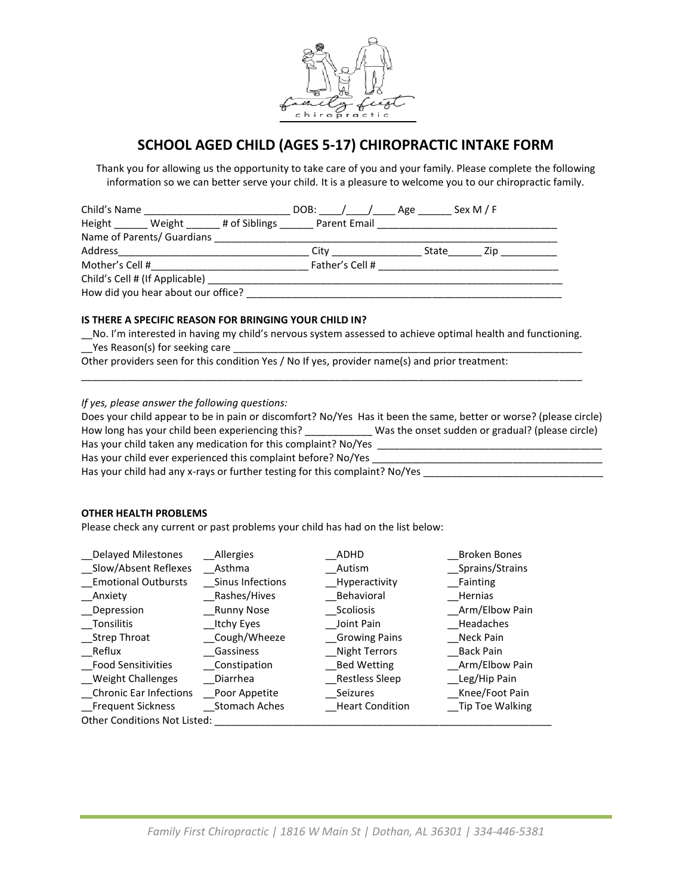

# **SCHOOL AGED CHILD (AGES 5-17) CHIROPRACTIC INTAKE FORM**

Thank you for allowing us the opportunity to take care of you and your family. Please complete the following information so we can better serve your child. It is a pleasure to welcome you to our chiropractic family.

| Child's Name                       | <u> 1980 - Jan Barbarat, manala</u>      |  |  |                     | DOB: / / Age | Sex M / F |                                                                                                                |
|------------------------------------|------------------------------------------|--|--|---------------------|--------------|-----------|----------------------------------------------------------------------------------------------------------------|
|                                    | Height Weight # of Siblings Parent Email |  |  |                     |              |           |                                                                                                                |
|                                    | Name of Parents/ Guardians               |  |  |                     |              |           |                                                                                                                |
| Address                            |                                          |  |  | City ______________ | State        |           | Zip in the state of the state of the state of the state of the state of the state of the state of the state of |
|                                    | Mother's Cell # 2007                     |  |  | Father's Cell #     |              |           |                                                                                                                |
| Child's Cell # (If Applicable)     |                                          |  |  |                     |              |           |                                                                                                                |
| How did you hear about our office? |                                          |  |  |                     |              |           |                                                                                                                |

### **IS THERE A SPECIFIC REASON FOR BRINGING YOUR CHILD IN?**

\_\_No. I'm interested in having my child's nervous system assessed to achieve optimal health and functioning.  $\angle$ Yes Reason(s) for seeking care  $\angle$ 

\_\_\_\_\_\_\_\_\_\_\_\_\_\_\_\_\_\_\_\_\_\_\_\_\_\_\_\_\_\_\_\_\_\_\_\_\_\_\_\_\_\_\_\_\_\_\_\_\_\_\_\_\_\_\_\_\_\_\_\_\_\_\_\_\_\_\_\_\_\_\_\_\_\_\_\_\_\_\_\_\_\_\_\_\_\_\_\_\_

Other providers seen for this condition Yes / No If yes, provider name(s) and prior treatment:

*If yes, please answer the following questions:*

Does your child appear to be in pain or discomfort? No/Yes Has it been the same, better or worse? (please circle) How long has your child been experiencing this? \_\_\_\_\_\_\_\_\_\_\_\_ Was the onset sudden or gradual? (please circle) Has your child taken any medication for this complaint? No/Yes \_\_\_\_\_\_\_\_\_\_\_\_\_\_\_\_\_\_\_\_\_\_\_\_\_\_\_\_\_\_\_\_\_\_\_\_\_\_\_\_ Has your child ever experienced this complaint before? No/Yes \_\_\_\_\_\_\_\_\_\_\_\_\_\_\_\_\_\_\_

Has your child had any x-rays or further testing for this complaint? No/Yes \_\_\_\_\_\_\_\_\_\_\_\_\_\_\_\_\_\_\_\_\_\_\_\_\_\_\_\_\_\_\_\_\_\_

#### **OTHER HEALTH PROBLEMS**

Please check any current or past problems your child has had on the list below:

| <b>Delayed Milestones</b>           | Allergies<br>ADHD    |                        | Broken Bones     |
|-------------------------------------|----------------------|------------------------|------------------|
| Slow/Absent Reflexes                | Asthma               | Autism                 | _Sprains/Strains |
| <b>Emotional Outbursts</b>          | Sinus Infections     | Hyperactivity          | Fainting         |
| Anxiety                             | Rashes/Hives         | Behavioral             | Hernias          |
| Depression                          | Runny Nose           | Scoliosis              | Arm/Elbow Pain   |
| Tonsilitis                          | Itchy Eyes           | Joint Pain             | Headaches        |
| Strep Throat                        | Cough/Wheeze         | <b>Growing Pains</b>   | Neck Pain        |
| Reflux                              | Gassiness            | Night Terrors          | Back Pain        |
| Food Sensitivities                  | Constipation         | Bed Wetting            | Arm/Elbow Pain   |
| Weight Challenges                   | Diarrhea             | Restless Sleep         | Leg/Hip Pain     |
| <b>Chronic Ear Infections</b>       | Poor Appetite        | Seizures               | Knee/Foot Pain   |
| Frequent Sickness                   | <b>Stomach Aches</b> | <b>Heart Condition</b> | Tip Toe Walking  |
| <b>Other Conditions Not Listed:</b> |                      |                        |                  |